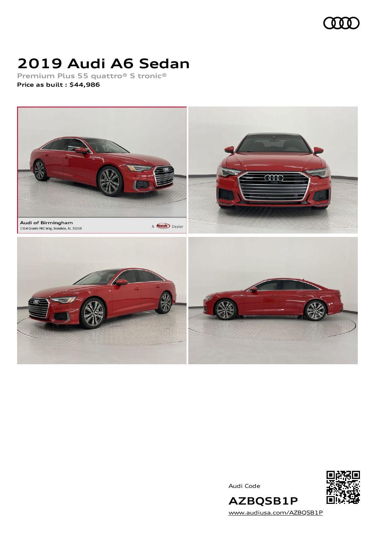

# **2019 Audi A6 Sedan**

**Premium Plus 55 quattro® S tronic® Price as built [:](#page-8-0) \$44,986**



Audi Code



**AZBQSB1P** [www.audiusa.com/AZBQSB1P](https://www.audiusa.com/AZBQSB1P)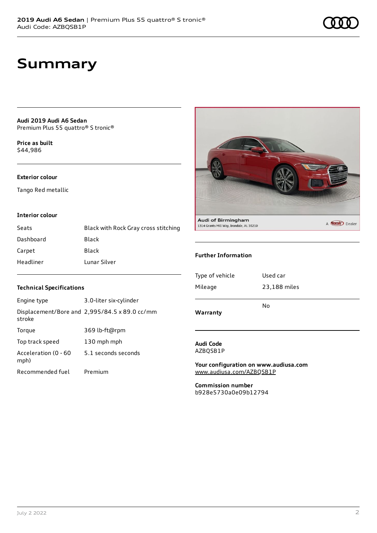**Audi 2019 Audi A6 Sedan** Premium Plus 55 quattro® S tronic®

**Price as buil[t](#page-8-0)** \$44,986

### **Exterior colour**

Tango Red metallic

### **Interior colour**

| Seats     | Black with Rock Gray cross stitching |
|-----------|--------------------------------------|
| Dashboard | Black                                |
| Carpet    | Black                                |
| Headliner | Lunar Silver                         |



#### **Further Information**

| Warranty        | No           |
|-----------------|--------------|
| Mileage         | 23,188 miles |
| Type of vehicle | Used car     |

**Audi Code** AZBQSB1P

**Your configuration on www.audiusa.com** [www.audiusa.com/AZBQSB1P](https://www.audiusa.com/AZBQSB1P)

**Commission number** b928e5730a0e09b12794

### **Technical Specifications**

| Engine type                  | 3.0-liter six-cylinder                        |
|------------------------------|-----------------------------------------------|
| stroke                       | Displacement/Bore and 2,995/84.5 x 89.0 cc/mm |
| Torque                       | 369 lb-ft@rpm                                 |
| Top track speed              | 130 mph mph                                   |
| Acceleration (0 - 60<br>mph) | 5.1 seconds seconds                           |
| Recommended fuel             | Premium                                       |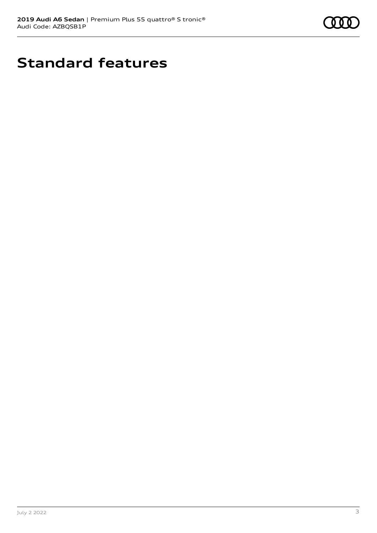

# **Standard features**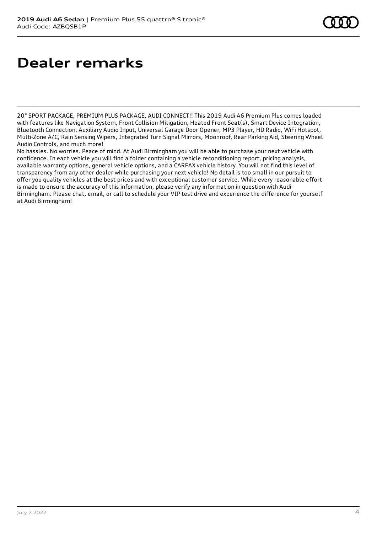# **Dealer remarks**

20" SPORT PACKAGE, PREMIUM PLUS PACKAGE, AUDI CONNECT!! This 2019 Audi A6 Premium Plus comes loaded with features like Navigation System, Front Collision Mitigation, Heated Front Seat(s), Smart Device Integration, Bluetooth Connection, Auxiliary Audio Input, Universal Garage Door Opener, MP3 Player, HD Radio, WiFi Hotspot, Multi-Zone A/C, Rain Sensing Wipers, Integrated Turn Signal Mirrors, Moonroof, Rear Parking Aid, Steering Wheel Audio Controls, and much more!

No hassles. No worries. Peace of mind. At Audi Birmingham you will be able to purchase your next vehicle with confidence. In each vehicle you will find a folder containing a vehicle reconditioning report, pricing analysis, available warranty options, general vehicle options, and a CARFAX vehicle history. You will not find this level of transparency from any other dealer while purchasing your next vehicle! No detail is too small in our pursuit to offer you quality vehicles at the best prices and with exceptional customer service. While every reasonable effort is made to ensure the accuracy of this information, please verify any information in question with Audi Birmingham. Please chat, email, or call to schedule your VIP test drive and experience the difference for yourself at Audi Birmingham!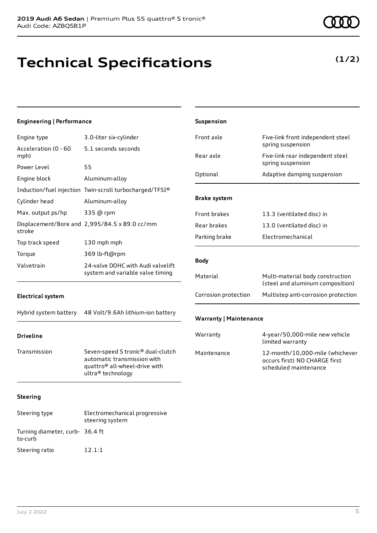## **Technical Specifications**

## **(1/2)**

| <b>Engineering   Performance</b> |                                                                                                                                    | Suspension                    |                                                                                           |
|----------------------------------|------------------------------------------------------------------------------------------------------------------------------------|-------------------------------|-------------------------------------------------------------------------------------------|
| Engine type                      | 3.0-liter six-cylinder                                                                                                             | Front axle                    | Five-link front independent steel                                                         |
| Acceleration (0 - 60<br>mph)     | 5.1 seconds seconds                                                                                                                | Rear axle                     | spring suspension<br>Five-link rear independent steel                                     |
| Power Level                      | 55                                                                                                                                 |                               | spring suspension                                                                         |
| Engine block                     | Aluminum-alloy                                                                                                                     | Optional                      | Adaptive damping suspension                                                               |
|                                  | Induction/fuel injection Twin-scroll turbocharged/TFSI®                                                                            |                               |                                                                                           |
| Cylinder head                    | Aluminum-alloy                                                                                                                     | <b>Brake system</b>           |                                                                                           |
| Max. output ps/hp                | 335 @ rpm                                                                                                                          | Front brakes                  | 13.3 (ventilated disc) in                                                                 |
| stroke                           | Displacement/Bore and 2,995/84.5 x 89.0 cc/mm                                                                                      | Rear brakes                   | 13.0 (ventilated disc) in                                                                 |
| Top track speed                  | 130 mph mph                                                                                                                        | Parking brake                 | Electromechanical                                                                         |
| Torque                           | 369 lb-ft@rpm                                                                                                                      |                               |                                                                                           |
| Valvetrain                       | 24-valve DOHC with Audi valvelift                                                                                                  | <b>Body</b>                   |                                                                                           |
|                                  | system and variable valve timing                                                                                                   | Material                      | Multi-material body construction<br>(steel and aluminum composition)                      |
| <b>Electrical system</b>         |                                                                                                                                    | Corrosion protection          | Multistep anti-corrosion protection                                                       |
| Hybrid system battery            | 48 Volt/9.6Ah lithium-ion battery                                                                                                  | <b>Warranty   Maintenance</b> |                                                                                           |
| <b>Driveline</b>                 |                                                                                                                                    | Warranty                      | 4-year/50,000-mile new vehicle<br>limited warranty                                        |
| Transmission                     | Seven-speed S tronic® dual-clutch<br>automatic transmission with<br>quattro <sup>®</sup> all-wheel-drive with<br>ultra® technology | Maintenance                   | 12-month/10,000-mile (whichever<br>occurs first) NO CHARGE first<br>scheduled maintenance |
| <b>Steering</b>                  |                                                                                                                                    |                               |                                                                                           |
| Steering type                    | Electromechanical progressive<br>steering system                                                                                   |                               |                                                                                           |

to-curb

Turning diameter, curb-36.4 ft

Steering ratio 12.1:1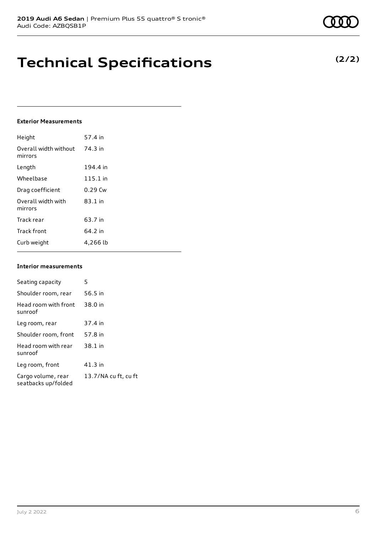## **Technical Specifications**

### **Exterior Measurements**

| Height                           | 57.4 in   |
|----------------------------------|-----------|
| Overall width without<br>mirrors | 74.3 in   |
| Length                           | 194.4 in  |
| Wheelbase                        | 115.1 in  |
| Drag coefficient                 | $0.29$ Cw |
| Overall width with<br>mirrors    | $83.1$ in |
| Track rear                       | 63.7 in   |
| <b>Track front</b>               | 64.2 in   |
| Curb weight                      | 4,266 lb  |

### **Interior measurements**

| Seating capacity                          | 5                    |
|-------------------------------------------|----------------------|
| Shoulder room, rear                       | 56.5 in              |
| Head room with front<br>sunroof           | 38.0 in              |
| Leg room, rear                            | 37.4 in              |
| Shoulder room, front                      | 57.8 in              |
| Head room with rear<br>sunroof            | 38.1 in              |
| Leg room, front                           | 41.3 in              |
| Cargo volume, rear<br>seatbacks up/folded | 13.7/NA cu ft, cu ft |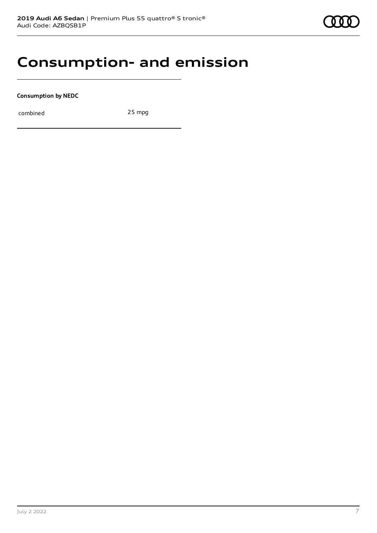

## **Consumption- and emission**

**Consumption by NEDC**

combined 25 mpg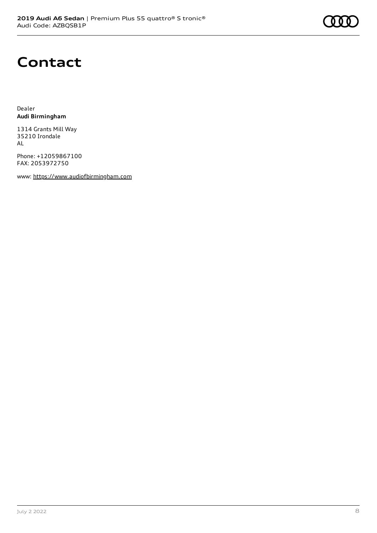## **Contact**

Dealer **Audi Birmingham**

1314 Grants Mill Way 35210 Irondale AL

Phone: +12059867100 FAX: 2053972750

www: [https://www.audiofbirmingham.com](https://www.audiofbirmingham.com/)